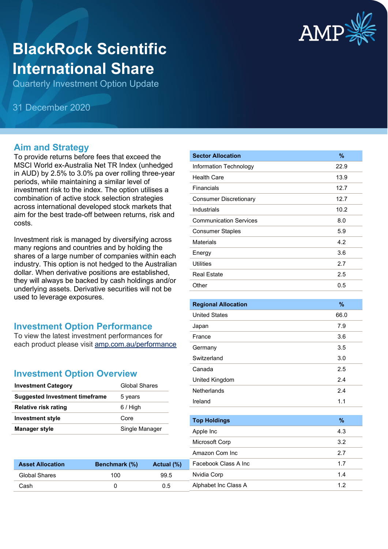

# **BlackRock Scientific International Share**

Quarterly Investment Option Update

31 December 2020

#### **Aim and Strategy**

To provide returns before fees that exceed the MSCI World ex-Australia Net TR Index (unhedged in AUD) by 2.5% to 3.0% pa over rolling three-year periods, while maintaining a similar level of investment risk to the index. The option utilises a combination of active stock selection strategies across international developed stock markets that aim for the best trade-off between returns, risk and costs.

Investment risk is managed by diversifying across many regions and countries and by holding the shares of a large number of companies within each industry. This option is not hedged to the Australian dollar. When derivative positions are established, they will always be backed by cash holdings and/or underlying assets. Derivative securities will not be used to leverage exposures.

## **Investment Option Performance**

To view the latest investment performances for each product please visit [amp.com.au/performance](https://www.amp.com.au/performance)

## **Investment Option Overview**

| <b>Investment Category</b>            | <b>Global Shares</b> |
|---------------------------------------|----------------------|
| <b>Suggested Investment timeframe</b> | 5 years              |
| <b>Relative risk rating</b>           | $6/$ High            |
| <b>Investment style</b>               | Core                 |
| <b>Manager style</b>                  | Single Manager       |

**Asset Allocation Benchmark (%) Actual (%)** Global Shares 100 99.5 Cash 0 0.5

| <b>Sector Allocation</b>      | %    |
|-------------------------------|------|
| Information Technology        | 22.9 |
| <b>Health Care</b>            | 13.9 |
| Financials                    | 12.7 |
| <b>Consumer Discretionary</b> | 12.7 |
| Industrials                   | 10.2 |
| <b>Communication Services</b> | 8.0  |
| <b>Consumer Staples</b>       | 5.9  |
| <b>Materials</b>              | 4.2  |
| Energy                        | 3.6  |
| <b>Utilities</b>              | 2.7  |
| <b>Real Estate</b>            | 2.5  |
| Other                         | 0.5  |
|                               |      |
| <b>Regional Allocation</b>    | %    |
| <b>United States</b>          | 66.0 |
| Japan                         | 7.9  |
| France                        | 3.6  |
| Germany                       | 3.5  |
| Switzerland                   | 3.0  |
| Canada                        | 2.5  |
| United Kingdom                | 2.4  |
| Netherlands                   | 2.4  |
| Ireland                       | 1.1  |
|                               |      |
| <b>Top Holdings</b>           | %    |
| Apple Inc                     | 4.3  |
| Microsoft Corp                | 3.2  |
| Amazon Com Inc                | 2.7  |
| Facebook Class A Inc          | 1.7  |
| Nvidia Corp                   | 1.4  |
| Alphabet Inc Class A          | 1.2  |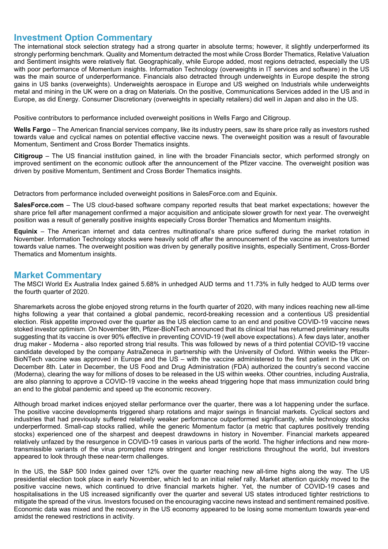#### **Investment Option Commentary**

The international stock selection strategy had a strong quarter in absolute terms; however, it slightly underperformed its strongly performing benchmark. Quality and Momentum detracted the most while Cross Border Thematics, Relative Valuation and Sentiment insights were relatively flat. Geographically, while Europe added, most regions detracted, especially the US with poor performance of Momentum insights. Information Technology (overweights in IT services and software) in the US was the main source of underperformance. Financials also detracted through underweights in Europe despite the strong gains in US banks (overweights). Underweights aerospace in Europe and US weighed on Industrials while underweights metal and mining in the UK were on a drag on Materials. On the positive, Communications Services added in the US and in Europe, as did Energy. Consumer Discretionary (overweights in specialty retailers) did well in Japan and also in the US.

Positive contributors to performance included overweight positions in Wells Fargo and Citigroup.

**Wells Fargo** – The American financial services company, like its industry peers, saw its share price rally as investors rushed towards value and cyclical names on potential effective vaccine news. The overweight position was a result of favourable Momentum, Sentiment and Cross Border Thematics insights.

**Citigroup** – The US financial institution gained, in line with the broader Financials sector, which performed strongly on improved sentiment on the economic outlook after the announcement of the Pfizer vaccine. The overweight position was driven by positive Momentum, Sentiment and Cross Border Thematics insights.

Detractors from performance included overweight positions in SalesForce.com and Equinix.

**SalesForce.com** – The US cloud-based software company reported results that beat market expectations; however the share price fell after management confirmed a major acquisition and anticipate slower growth for next year. The overweight position was a result of generally positive insights especially Cross Border Thematics and Momentum insights.

**Equinix** – The American internet and data centres multinational's share price suffered during the market rotation in November. Information Technology stocks were heavily sold off after the announcement of the vaccine as investors turned towards value names. The overweight position was driven by generally positive insights, especially Sentiment, Cross-Border Thematics and Momentum insights.

#### **Market Commentary**

The MSCI World Ex Australia Index gained 5.68% in unhedged AUD terms and 11.73% in fully hedged to AUD terms over the fourth quarter of 2020.

Sharemarkets across the globe enjoyed strong returns in the fourth quarter of 2020, with many indices reaching new all-time highs following a year that contained a global pandemic, record-breaking recession and a contentious US presidential election. Risk appetite improved over the quarter as the US election came to an end and positive COVID-19 vaccine news stoked investor optimism. On November 9th, Pfizer-BioNTech announced that its clinical trial has returned preliminary results suggesting that its vaccine is over 90% effective in preventing COVID-19 (well above expectations). A few days later, another drug maker - Moderna - also reported strong trial results. This was followed by news of a third potential COVID-19 vaccine candidate developed by the company AstraZeneca in partnership with the University of Oxford. Within weeks the Pfizer-BioNTech vaccine was approved in Europe and the US – with the vaccine administered to the first patient in the UK on December 8th. Later in December, the US Food and Drug Administration (FDA) authorized the country's second vaccine (Moderna), clearing the way for millions of doses to be released in the US within weeks. Other countries, including Australia, are also planning to approve a COVID-19 vaccine in the weeks ahead triggering hope that mass immunization could bring an end to the global pandemic and speed up the economic recovery.

Although broad market indices enjoyed stellar performance over the quarter, there was a lot happening under the surface. The positive vaccine developments triggered sharp rotations and major swings in financial markets. Cyclical sectors and industries that had previously suffered relatively weaker performance outperformed significantly, while technology stocks underperformed. Small-cap stocks rallied, while the generic Momentum factor (a metric that captures positively trending stocks) experienced one of the sharpest and deepest drawdowns in history in November. Financial markets appeared relatively unfazed by the resurgence in COVID-19 cases in various parts of the world. The higher infections and new moretransmissible variants of the virus prompted more stringent and longer restrictions throughout the world, but investors appeared to look through these near-term challenges.

In the US, the S&P 500 Index gained over 12% over the quarter reaching new all-time highs along the way. The US presidential election took place in early November, which led to an initial relief rally. Market attention quickly moved to the positive vaccine news, which continued to drive financial markets higher. Yet, the number of COVID-19 cases and hospitalisations in the US increased significantly over the quarter and several US states introduced tighter restrictions to mitigate the spread of the virus. Investors focused on the encouraging vaccine news instead and sentiment remained positive. Economic data was mixed and the recovery in the US economy appeared to be losing some momentum towards year-end amidst the renewed restrictions in activity.